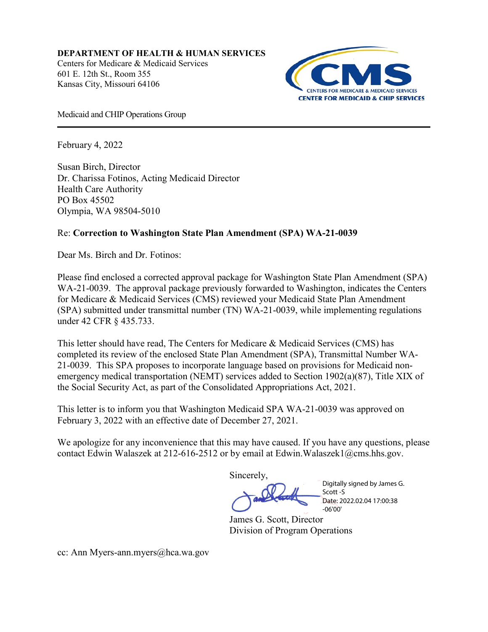**DEPARTMENT OF HEALTH & HUMAN SERVICES** Centers for Medicare & Medicaid Services [601 E. 12th St., Room 355](x-apple-data-detectors://2/0) [Kansas City, Missouri 64106](x-apple-data-detectors://2/0) 



Medicaid and CHIP Operations Group

February 4, 2022

Susan Birch, Director Dr. Charissa Fotinos, Acting Medicaid Director Health Care Authority PO Box 45502 Olympia, WA 98504-5010

## Re: **Correction to Washington State Plan Amendment (SPA) WA-21-0039**

Dear Ms. Birch and Dr. Fotinos:

Please find enclosed a corrected approval package for Washington State Plan Amendment (SPA) WA-21-0039. The approval package previously forwarded to Washington, indicates the Centers for Medicare & Medicaid Services (CMS) reviewed your Medicaid State Plan Amendment (SPA) submitted under transmittal number (TN) WA-21-0039, while implementing regulations under 42 CFR § 435.733.

This letter should have read, The Centers for Medicare & Medicaid Services (CMS) has completed its review of the enclosed State Plan Amendment (SPA), Transmittal Number WA-21-0039. This SPA proposes to incorporate language based on provisions for Medicaid nonemergency medical transportation (NEMT) services added to Section 1902(a)(87), Title XIX of the Social Security Act, as part of the Consolidated Appropriations Act, 2021.

This letter is to inform you that Washington Medicaid SPA WA-21-0039 was approved on February 3, 2022 with an effective date of December 27, 2021.

We apologize for any inconvenience that this may have caused. If you have any questions, please contact Edwin Walaszek at 212-616-2512 or by email at Edwin.Walaszek1@cms.hhs.gov.

Sincerely,

Digitally signed by James G. Scott -S Date: 2022.02.04 17:00:38 -06'00'

James G. Scott, Director Division of Program Operations

cc: Ann Myers-ann.myers@hca.wa.gov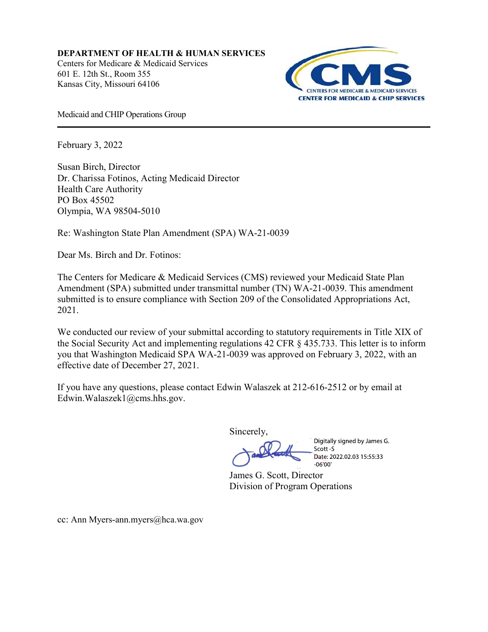DEPARTMENT OF HEALTH & HUMAN SERVICES Centers for Medicare & Medicaid Services 601 E. 12th St., Room 355 Kansas City, Missouri 64106



Medicaid and CHIP Operations Group

February 3, 2022

Susan Birch, Director Dr. Charissa Fotinos, Acting Medicaid Director Health Care Authority PO Box 45502 Olympia, WA 98504-5010

Re: Washington State Plan Amendment (SPA) WA-21-0039

Dear Ms. Birch and Dr. Fotinos:

The Centers for Medicare & Medicaid Services (CMS) reviewed your Medicaid State Plan Amendment (SPA) submitted under transmittal number (TN) WA-21-0039. This amendment submitted is to ensure compliance with Section 209 of the Consolidated Appropriations Act, 2021.

We conducted our review of your submittal according to statutory requirements in Title XIX of the Social Security Act and implementing regulations 42 CFR § 435.733. This letter is to inform you that Washington Medicaid SPA WA-21-0039 was approved on February 3, 2022, with an effective date of December 27, 2021.

If you have any questions, please contact Edwin Walaszek at 212-616-2512 or by email at Edwin.Walaszek1@cms.hhs.gov.

Sincerely,

Digitally signed by James G. Scott-S Date: 2022.02.03 15:55:33 06'00

James G. Scott, Director Division of Program Operations

cc: Ann Myers-ann.myers@hca.wa.gov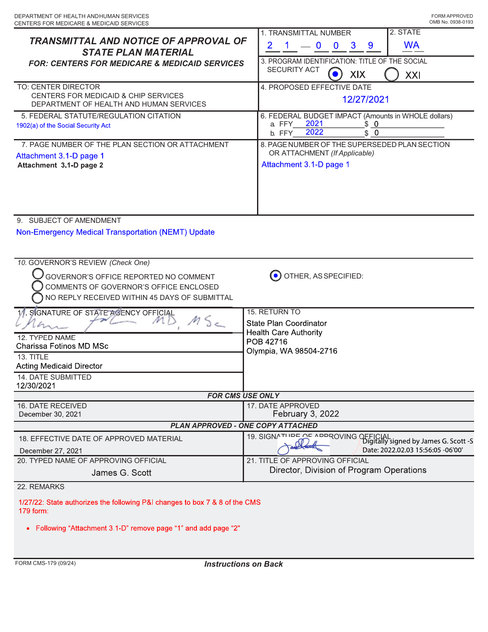| <b>TRANSMITTAL AND NOTICE OF APPROVAL OF</b><br><b>STATE PLAN MATERIAL</b>                                                                                                                            | 2. STATE<br>1. TRANSMITTAL NUMBER<br><b>WA</b><br>$\overline{2}$<br>$9^{\circ}$<br>$\overline{\mathbf{0}}$<br>$\overline{\mathbf{0}}$<br>$\mathbf{3}$<br>3. PROGRAM IDENTIFICATION: TITLE OF THE SOCIAL |
|-------------------------------------------------------------------------------------------------------------------------------------------------------------------------------------------------------|---------------------------------------------------------------------------------------------------------------------------------------------------------------------------------------------------------|
| <b>FOR: CENTERS FOR MEDICARE &amp; MEDICAID SERVICES</b>                                                                                                                                              | <b>SECURITY ACT</b><br>$\bullet$<br>XIX<br>XXI                                                                                                                                                          |
| TO: CENTER DIRECTOR<br>CENTERS FOR MEDICAID & CHIP SERVICES<br>DEPARTMENT OF HEALTH AND HUMAN SERVICES                                                                                                | 4. PROPOSED EFFECTIVE DATE<br>12/27/2021                                                                                                                                                                |
| 5. FEDERAL STATUTE/REGULATION CITATION<br>1902(a) of the Social Security Act                                                                                                                          | 6. FEDERAL BUDGET IMPACT (Amounts in WHOLE dollars)<br>2021<br>$\overline{\mathbf{0}}$<br>\$<br>a. FFY<br>2022<br>\$0<br>b. FFY                                                                         |
| 7. PAGE NUMBER OF THE PLAN SECTION OR ATTACHMENT<br>Attachment 3.1-D page 1<br>Attachment 3.1-D page 2                                                                                                | 8. PAGE NUMBER OF THE SUPERSEDED PLAN SECTION<br>OR ATTACHMENT (If Applicable)<br>Attachment 3.1-D page 1                                                                                               |
| 9. SUBJECT OF AMENDMENT<br>Non-Emergency Medical Transportation (NEMT) Update<br>10. GOVERNOR'S REVIEW (Check One)<br>GOVERNOR'S OFFICE REPORTED NO COMMENT<br>COMMENTS OF GOVERNOR'S OFFICE ENCLOSED | OTHER, AS SPECIFIED:                                                                                                                                                                                    |
| NO REPLY RECEIVED WITHIN 45 DAYS OF SUBMITTAL<br>11. SIGNATURE OF STATE AGENCY OFFICIAL                                                                                                               | 15. RETURN TO                                                                                                                                                                                           |
| 12. TYPED NAME<br>Charissa Fotinos MD MSc<br>13. TITLE<br><b>Acting Medicaid Director</b><br>14. DATE SUBMITTED<br>12/30/2021                                                                         | State Plan Coordinator<br><b>Health Care Authority</b><br>POB 42716<br>Olympia, WA 98504-2716                                                                                                           |
|                                                                                                                                                                                                       | <b>FOR CMS USE ONLY</b>                                                                                                                                                                                 |
| 16. DATE RECEIVED<br>December 30, 2021                                                                                                                                                                | 17. DATE APPROVED<br>February 3, 2022                                                                                                                                                                   |
|                                                                                                                                                                                                       | PLAN APPROVED - ONE COPY ATTACHED                                                                                                                                                                       |
|                                                                                                                                                                                                       |                                                                                                                                                                                                         |
| 18. EFFECTIVE DATE OF APPROVED MATERIAL<br>December 27, 2021<br>20. TYPED NAME OF APPROVING OFFICIAL                                                                                                  | 19. SIGNATURE OF APPROVING OFFICIAL<br>Digitally signed by James G. Scott -S<br>Date: 2022.02.03 15:56:05 -06'00'<br>21. TITLE OF APPROVING OFFICIAL                                                    |